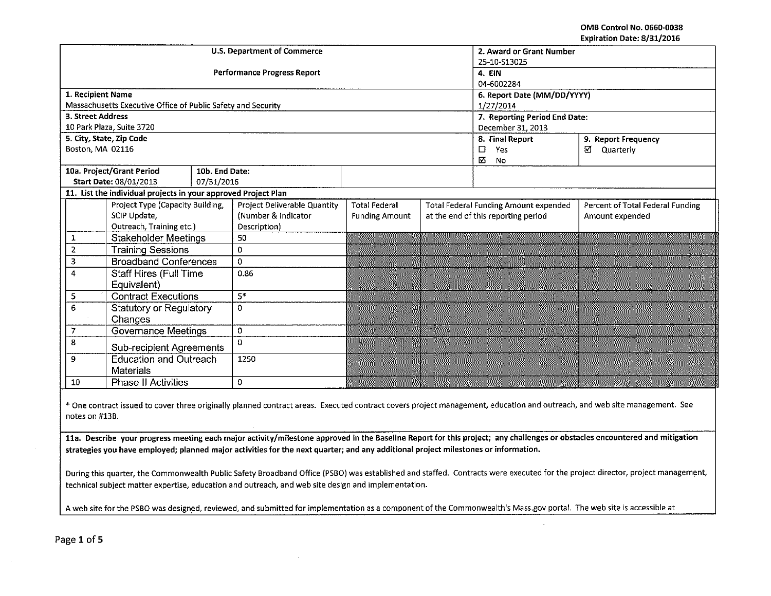OMB Control No. 0660-0038 Expiration Date: 8/31/2016

| LAPILOUVII DOLC, UJ JIJ LVIV                                |                                                                |                |                                    |                          |                             |                                              |                                  |  |  |  |
|-------------------------------------------------------------|----------------------------------------------------------------|----------------|------------------------------------|--------------------------|-----------------------------|----------------------------------------------|----------------------------------|--|--|--|
|                                                             |                                                                |                | U.S. Department of Commerce        | 2. Award or Grant Number |                             |                                              |                                  |  |  |  |
|                                                             |                                                                |                |                                    | 25-10-S13025             |                             |                                              |                                  |  |  |  |
|                                                             |                                                                |                | <b>Performance Progress Report</b> | 4. EIN                   |                             |                                              |                                  |  |  |  |
|                                                             |                                                                |                |                                    | 04-6002284               |                             |                                              |                                  |  |  |  |
| 1. Recipient Name                                           |                                                                |                |                                    |                          | 6. Report Date (MM/DD/YYYY) |                                              |                                  |  |  |  |
|                                                             | Massachusetts Executive Office of Public Safety and Security   |                |                                    |                          |                             | 1/27/2014                                    |                                  |  |  |  |
| 3. Street Address                                           |                                                                |                |                                    |                          |                             | 7. Reporting Period End Date:                |                                  |  |  |  |
|                                                             | 10 Park Plaza, Suite 3720                                      |                |                                    |                          |                             | December 31, 2013                            |                                  |  |  |  |
|                                                             | 5. City, State, Zip Code                                       |                |                                    |                          |                             | 8. Final Report                              | 9. Report Frequency              |  |  |  |
| Boston, MA 02116                                            |                                                                |                |                                    |                          |                             | $\Box$<br><b>Yes</b>                         | ☑<br>Quarterly                   |  |  |  |
|                                                             |                                                                |                |                                    |                          |                             | $\overline{\mathbf{M}}$<br><b>No</b>         |                                  |  |  |  |
|                                                             | 10a. Project/Grant Period                                      | 10b. End Date: |                                    |                          |                             |                                              |                                  |  |  |  |
|                                                             | Start Date: 08/01/2013                                         | 07/31/2016     |                                    |                          |                             |                                              |                                  |  |  |  |
|                                                             | 11. List the individual projects in your approved Project Plan |                |                                    |                          |                             |                                              |                                  |  |  |  |
|                                                             | Project Type (Capacity Building,                               |                | Project Deliverable Quantity       | <b>Total Federal</b>     |                             | <b>Total Federal Funding Amount expended</b> | Percent of Total Federal Funding |  |  |  |
|                                                             | SCIP Update,                                                   |                | (Number & Indicator                | <b>Funding Amount</b>    |                             | at the end of this reporting period          | Amount expended                  |  |  |  |
|                                                             | Outreach, Training etc.)                                       |                | Description)                       |                          |                             |                                              |                                  |  |  |  |
| 1                                                           | <b>Stakeholder Meetings</b>                                    |                | 50                                 |                          |                             |                                              |                                  |  |  |  |
| $\overline{2}$                                              | <b>Training Sessions</b>                                       |                | 0                                  |                          |                             |                                              |                                  |  |  |  |
| 3                                                           | <b>Broadband Conferences</b>                                   |                | $\Omega$                           |                          |                             |                                              |                                  |  |  |  |
| 4                                                           | <b>Staff Hires (Full Time</b>                                  |                | 0.86                               |                          |                             |                                              |                                  |  |  |  |
|                                                             | Equivalent)                                                    |                |                                    |                          |                             |                                              |                                  |  |  |  |
| 5                                                           | <b>Contract Executions</b>                                     |                | $5*$                               |                          |                             |                                              |                                  |  |  |  |
| 6                                                           | <b>Statutory or Regulatory</b>                                 |                | $\mathbf 0$                        |                          |                             |                                              |                                  |  |  |  |
|                                                             | Changes                                                        |                |                                    |                          |                             |                                              |                                  |  |  |  |
| <b>Governance Meetings</b><br>$\mathbf 0$<br>$\overline{7}$ |                                                                |                |                                    |                          |                             |                                              |                                  |  |  |  |
| 8<br><b>Sub-recipient Agreements</b>                        |                                                                |                | $\Omega$                           |                          |                             |                                              |                                  |  |  |  |
| <b>Education and Outreach</b><br>9                          |                                                                | 1250           |                                    |                          |                             |                                              |                                  |  |  |  |
|                                                             | <b>Materials</b>                                               |                |                                    |                          |                             |                                              |                                  |  |  |  |
| 10                                                          | Phase II Activities                                            |                | $\Omega$                           |                          |                             |                                              |                                  |  |  |  |

\*One contract issued to cover three originally planned contract areas. Executed contract covers project management, education and outreach, and web site management. See notes on #138.

11a. Describe your progress meeting each major activity/milestone approved in the Baseline Report for this project; any challenges or obstacles encountered and mitigation strategies you have employed; planned major activities for the next quarter; and any additional project milestones or information.

During this quarter, the Commonwealth Public Safety Broadband Office (PSBO) was established and staffed. Contracts were executed for the project director, project management, technical subject matter expertise, education and outreach, and web site design and implementation.

A web site for the PSBO was designed, reviewed, and submitted for implementation as a component of the Commonwealth's Mass.gov portal. The web site is accessible at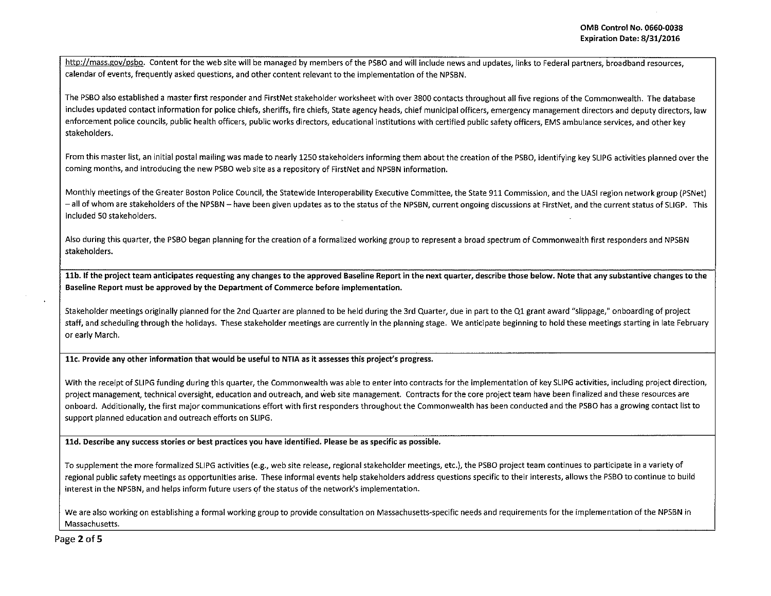http://mass.gov/psbo. Content for the web site will be managed by members of the PSBO and will include news and updates, links to Federal partners, broadband resources, calendar of events, frequently asked questions, and other content relevant to the implementation of the NPSBN.

The PSBO also established a master first responder and FirstNet stakeholder worksheet with over 3800 contacts throughout all five regions of the Commonwealth. The database includes updated contact information for police chiefs, sheriffs, fire chiefs, State agency heads, chief municipal officers, emergency management directors and deputy directors, law enforcement police councils, public health officers, public works directors, educational institutions with certified public safety officers, EMS ambulance services, and other key stakeholders.

From this master list, an initial postal mailing was made to nearly 1250 stakeholders informing them about the creation of the PSBO, identifying key SLIPG activities planned over the coming months, and introducing the new PSBO web site as a repository of FirstNet and NPSBN information.

Monthly meetings of the Greater Boston Police Council, the Statewide lnteroperability Executive Committee, the State 911 Commission, and the UASI region network group (PSNet) -all of whom are stakeholders of the NPSBN- have been given updates as to the status of the NPSBN, current ongoing discussions at First Net, and the current status of SLIGP. This included SO stakeholders.

Also during this quarter, the PSBO began planning for the creation of a formalized working group to represent a broad spectrum of Commonwealth first responders and NPSBN stakeholders.

11b. If the project team anticipates requesting any changes to the approved Baseline Report in the next quarter, describe those below. Note that any substantive changes to the Baseline Report must be approved by the Department of Commerce before implementation.

Stakeholder meetings originally planned for the 2nd Quarter are planned to be held during the 3rd Quarter, due in part to the Ql grant award "slippage," onboarding of project staff, and scheduling through the holidays. These stakeholder meetings are currently in the planning stage. We anticipate beginning to hold these meetings starting in late February or early March.

llc. Provide any other information that would be useful to NTIA as it assesses this project's progress.

With the receipt of SLIPG funding during this quarter, the Commonwealth was able to enter into contracts for the implementation of key SLIPG activities, including project direction, project management, technical oversight, education and outreach, and web site management. Contracts for the core project team have been finalized and these resources are onboard. Additionally, the first major communications effort with first responders throughout the Commonwealth has been conducted and the PSBO has a growing contact list to support planned education and outreach efforts on SUPG.

11d. Describe any success stories or best practices you have identified. Please be as specific as possible.

To supplement the more formalized SLIPG activities (e.g., web site release, regional stakeholder meetings, etc.), the PSBO project team continues to participate in a variety of regional public safety meetings as opportunities arise. These informal events help stakeholders address questions specific to their interests, allows the PSBO to continue to build interest in the NPSBN, and helps inform future users qf the status of the network's implementation.

We are also working on establishing a formal working group to provide consultation on Massachusetts-specific needs and requirements for the implementation of the NPSBN in Massachusetts.

Page 2 of 5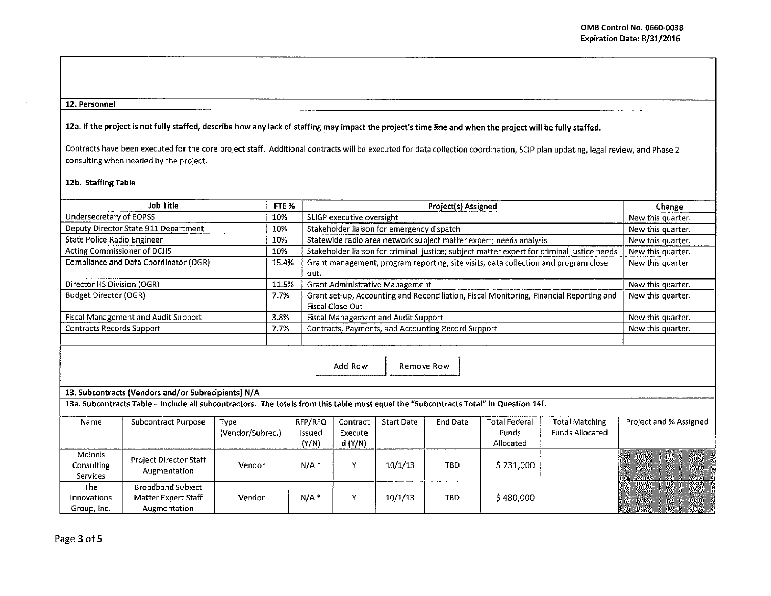## 12. Personnel

12a. If the project is not fully staffed, describe how any lack of staffing may impact the project's time line and when the project will be fully staffed.

Contracts have been executed for the core project staff. Additional contracts will be executed for data collection coordination, SCIP plan updating, legal review, and Phase 2 consulting when needed by the project.

## 12b. Staffing Table

| Job Title                             | FTE <sub>%</sub> | <b>Project(s) Assigned</b>                                                                 | Change            |
|---------------------------------------|------------------|--------------------------------------------------------------------------------------------|-------------------|
| Undersecretary of EOPSS               | 10%              | SLIGP executive oversight                                                                  | New this quarter. |
| Deputy Director State 911 Department  | 10%              | Stakeholder liaison for emergency dispatch                                                 | New this quarter. |
| State Police Radio Engineer           | 10%              | Statewide radio area network subject matter expert; needs analysis                         | New this quarter. |
| Acting Commissioner of DCJIS          | 10%              | Stakeholder liaison for criminal justice; subject matter expert for criminal justice needs | New this quarter. |
| Compliance and Data Coordinator (OGR) | 15.4%            | Grant management, program reporting, site visits, data collection and program close        | New this quarter. |
|                                       |                  | out.                                                                                       |                   |
| Director HS Division (OGR)            | 11.5%            | <b>Grant Administrative Management</b>                                                     | New this quarter. |
| Budget Director (OGR)                 | 7.7%             | Grant set-up, Accounting and Reconciliation, Fiscal Monitoring, Financial Reporting and    | New this quarter. |
|                                       |                  | Fiscal Close Out                                                                           |                   |
| Fiscal Management and Audit Support   | 3.8%             | <b>Fiscal Management and Audit Support</b>                                                 | New this quarter. |
| Contracts Records Support             | 7.7%             | Contracts, Payments, and Accounting Record Support                                         | New this quarter. |
|                                       |                  |                                                                                            |                   |

Add Row | Remove Row

## 13. Subcontracts (Vendors and/or Subrecipients) N/A

13a. Subcontracts Table -Include all subcontractors. The totals from this table must equal the "Subcontracts Total" in Question 14f.

| Name                                     | Subcontract Purpose                                             | <b>Type</b><br>(Vendor/Subrec.) | RFP/RFQ<br>Issued<br>(Y/N) | Contract<br>Execute<br>d(Y/N) | <b>Start Date</b> | End Date   | Total Federal<br>Funds<br>Allocated | <b>Total Matching</b><br><b>Funds Allocated</b> | Project and % Assigned |
|------------------------------------------|-----------------------------------------------------------------|---------------------------------|----------------------------|-------------------------------|-------------------|------------|-------------------------------------|-------------------------------------------------|------------------------|
| McInnis<br><b>Consulting</b><br>Services | Project Director Staff<br>Augmentation                          | Vendor                          | N/A                        |                               | 10/1/13           | TBD        | \$231,000                           |                                                 |                        |
| The<br><b>Innovations</b><br>Group, Inc. | <b>Broadband Subject</b><br>Matter Expert Staff<br>Augmentation | Vendor                          | N/A                        |                               | 10/1/13           | <b>TBD</b> | \$ 480,000                          |                                                 |                        |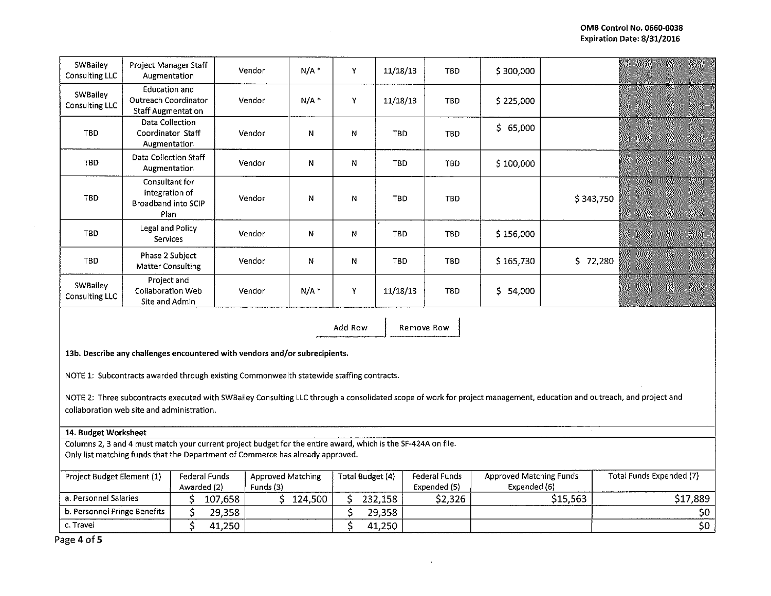| SWBailey<br>Consulting LLC | Project Manager Staff<br>Augmentation                                     | Vendor | $N/A$ * | Y            | 11/18/13   | <b>TBD</b> | \$300,000     |               |  |
|----------------------------|---------------------------------------------------------------------------|--------|---------|--------------|------------|------------|---------------|---------------|--|
| SWBailey<br>Consulting LLC | <b>Education and</b><br>Outreach Coordinator<br><b>Staff Augmentation</b> | Vendor | $N/A$ * | Y            | 11/18/13   | <b>TBD</b> | \$225,000     |               |  |
| TBD                        | Data Collection<br>Coordinator Staff<br>Augmentation                      | Vendor | N       | N            | <b>TBD</b> | <b>TBD</b> | \$65,000      |               |  |
| <b>TBD</b>                 | Data Collection Staff<br>Augmentation                                     | Vendor | N       | N            | <b>TBD</b> | TBD        | \$100,000     |               |  |
| TBD                        | Consultant for<br>Integration of<br>Broadband into SCIP<br>Plan           | Vendor | N       | $\mathsf{N}$ | TBD        | <b>TBD</b> |               | \$343,750     |  |
| <b>TBD</b>                 | Legal and Policy<br>Services                                              | Vendor | N       | Ν            | <b>TBD</b> | TBD        | \$156,000     |               |  |
| TBD.                       | Phase 2 Subject<br><b>Matter Consulting</b>                               | Vendor | Ν       | N            | <b>TBD</b> | <b>TBD</b> | \$165,730     | \$.<br>72,280 |  |
| SWBailey<br>Consulting LLC | Project and<br><b>Collaboration Web</b><br>Site and Admin                 | Vendor | $N/A$ * | Y            | 11/18/13   | <b>TBD</b> | \$.<br>54,000 |               |  |

Add Row | Remove Row

13b. Describe any challenges encountered with vendors and/or subrecipients.

NOTE 1: Subcontracts awarded through existing Commonwealth statewide staffing contracts.

NOTE 2: Three subcontracts executed with SWBailey Consulting LLC through a consolidated scope of work for project management, education and outreach, and project and collaboration web site and administration.

## 14. Budget Worksheet

Columns 2, 3 and 4 must match your current project budget for the entire award, which is the SF-424A on file. Only list matching funds that the Department of Commerce has already approved.

| Project Budget Element (1)   | Federal Funds |           | Approved Matching |              | Total Budget (4) |         | <b>Federal Funds</b> | Approved Matching Funds | Total Funds Expended (7) |
|------------------------------|---------------|-----------|-------------------|--------------|------------------|---------|----------------------|-------------------------|--------------------------|
| Awarded (2)                  |               | Funds (3) |                   | Expended (5) | Expended (6)     |         |                      |                         |                          |
| a. Personnel Salaries        |               | 107,658   |                   | 124,500      |                  | 232.158 | \$2,326              | \$15,563                | \$17,889                 |
| b. Personnel Fringe Benefits |               | 29.358    |                   |              |                  | 29,358  |                      |                         |                          |
| c. Travel                    |               | 41,250    |                   |              |                  | 41,250  |                      |                         | \$0                      |